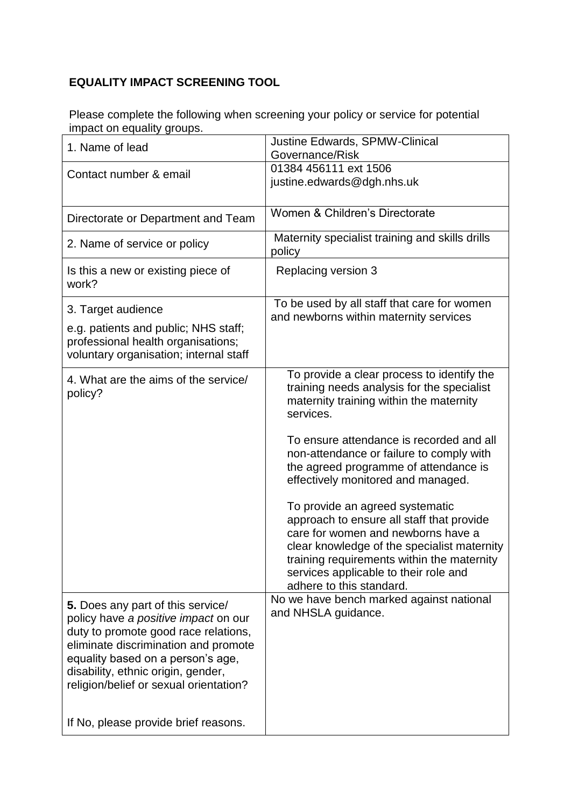## **EQUALITY IMPACT SCREENING TOOL**

Please complete the following when screening your policy or service for potential impact on equality groups.

| 1. Name of lead                                                                                                                                                                                                                                                                                                        | Justine Edwards, SPMW-Clinical<br>Governance/Risk                                                                                                                                                                                                                                                                                                                                                                                                                                                                                                                                                               |
|------------------------------------------------------------------------------------------------------------------------------------------------------------------------------------------------------------------------------------------------------------------------------------------------------------------------|-----------------------------------------------------------------------------------------------------------------------------------------------------------------------------------------------------------------------------------------------------------------------------------------------------------------------------------------------------------------------------------------------------------------------------------------------------------------------------------------------------------------------------------------------------------------------------------------------------------------|
| Contact number & email                                                                                                                                                                                                                                                                                                 | 01384 456111 ext 1506<br>justine.edwards@dgh.nhs.uk                                                                                                                                                                                                                                                                                                                                                                                                                                                                                                                                                             |
| Directorate or Department and Team                                                                                                                                                                                                                                                                                     | Women & Children's Directorate                                                                                                                                                                                                                                                                                                                                                                                                                                                                                                                                                                                  |
| 2. Name of service or policy                                                                                                                                                                                                                                                                                           | Maternity specialist training and skills drills<br>policy                                                                                                                                                                                                                                                                                                                                                                                                                                                                                                                                                       |
| Is this a new or existing piece of<br>work?                                                                                                                                                                                                                                                                            | Replacing version 3                                                                                                                                                                                                                                                                                                                                                                                                                                                                                                                                                                                             |
| 3. Target audience<br>e.g. patients and public; NHS staff;<br>professional health organisations;<br>voluntary organisation; internal staff                                                                                                                                                                             | To be used by all staff that care for women<br>and newborns within maternity services                                                                                                                                                                                                                                                                                                                                                                                                                                                                                                                           |
| 4. What are the aims of the service/<br>policy?                                                                                                                                                                                                                                                                        | To provide a clear process to identify the<br>training needs analysis for the specialist<br>maternity training within the maternity<br>services.<br>To ensure attendance is recorded and all<br>non-attendance or failure to comply with<br>the agreed programme of attendance is<br>effectively monitored and managed.<br>To provide an agreed systematic<br>approach to ensure all staff that provide<br>care for women and newborns have a<br>clear knowledge of the specialist maternity<br>training requirements within the maternity<br>services applicable to their role and<br>adhere to this standard. |
| 5. Does any part of this service/<br>policy have a positive impact on our<br>duty to promote good race relations,<br>eliminate discrimination and promote<br>equality based on a person's age,<br>disability, ethnic origin, gender,<br>religion/belief or sexual orientation?<br>If No, please provide brief reasons. | No we have bench marked against national<br>and NHSLA guidance.                                                                                                                                                                                                                                                                                                                                                                                                                                                                                                                                                 |